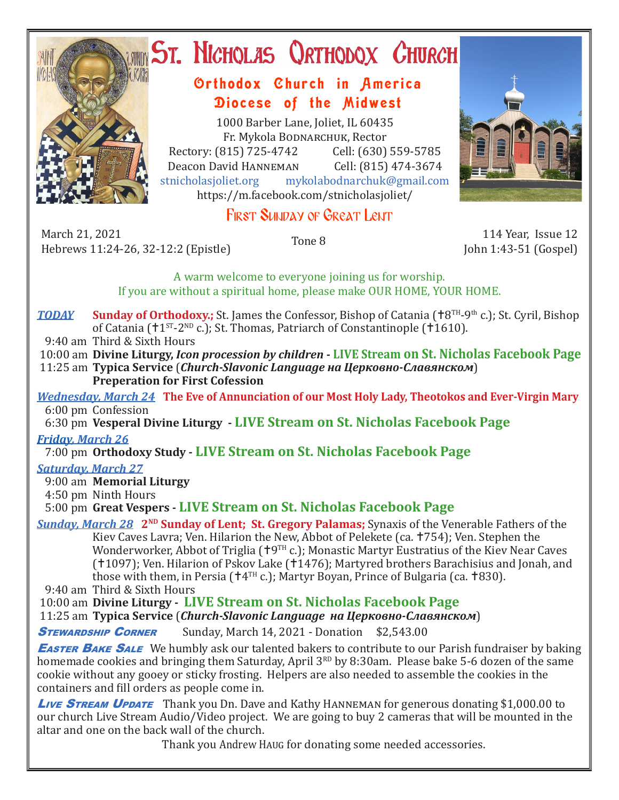

# ST. NICHOLAS QRTHODOX CHURCH

## Orthodox Church in America Diocese of the Midwest

1000 Barber Lane, Joliet, IL 60435 Fr. Mykola Bodnarchuk, Rector Rectory: (815) 725-4742 Cell: (630) 559-5785<br>Deacon David HANNEMAN Cell: (815) 474-3674 Deacon David Hanneman<br>stnicholasioliet.org mykola mykolabodnarchuk@gmail.com https://m.facebook.com/stnicholasjoliet/



March 21, 2021 March 21, 2021 114 Year, Issue 12<br>Hebrews 11:24-26, 32-12:2 (Epistle) Tone 8 11:24-26, 32-12:2 (Epistle)



John 1:43-51 (Gospel)

A warm welcome to everyone joining us for worship. If you are without a spiritual home, please make OUR HOME, YOUR HOME.

*TODAY* **Sunday of Orthodoxy.;** St. James the Confessor, Bishop of Catania ( $\text{†}8^{TH}-9^{th}$  c.); St. Cyril, Bishop of Catania ( $11^{ST}$ -2<sup>ND</sup> c.); St. Thomas, Patriarch of Constantinople ( $1610$ ).

9:40 am Third & Sixth Hours

10:00 am **Divine Liturgy,** *Icon procession by children* **- LIVE Stream on St. Nicholas Facebook Page**

 11:25 am **Typica Service** (*Church-Slavonic Language на Церковно-Славянском*) **Preperation for First Cofession**

*Wednesday, March 24* **The Eve of Annunciation of our Most Holy Lady, Theotokos and Ever-Virgin Mary** 6:00 pm Confession

6:30 pm **Vesperal Divine Liturgy - LIVE Stream on St. Nicholas Facebook Page**

*Friday, March 26* 

7:00 pm **Orthodoxy Study - LIVE Stream on St. Nicholas Facebook Page**

### *Saturday, March 27*

9:00 am **Memorial Liturgy**

4:50 pm Ninth Hours

5:00 pm **Great Vespers - LIVE Stream on St. Nicholas Facebook Page**

*Sunday, March 28* **2<sup>ND</sup> Sunday of Lent; St. Gregory Palamas;** Synaxis of the Venerable Fathers of the Kiev Caves Lavra; Ven. Hilarion the New, Abbot of Pelekete (ca. †754); Ven. Stephen the Wonderworker, Abbot of Triglia ( $\uparrow$ 9TH c.); Monastic Martyr Eustratius of the Kiev Near Caves (†1097); Ven. Hilarion of Pskov Lake (†1476); Martyred brothers Barachisius and Jonah, and those with them, in Persia ( $\pm 4$ <sup>TH</sup> c.); Martyr Boyan, Prince of Bulgaria (ca.  $\pm 830$ ).

9:40 am Third & Sixth Hours

10:00 am **Divine Liturgy - LIVE Stream on St. Nicholas Facebook Page**

11:25 am **Typica Service** (*Church-Slavonic Language на Церковно-Славянском*)

**STEWARDSHIP CORNER** Sunday, March 14, 2021 - Donation \$2,543.00

**EASTER BAKE SALE** We humbly ask our talented bakers to contribute to our Parish fundraiser by baking homemade cookies and bringing them Saturday, April 3<sup>RD</sup> by 8:30am. Please bake 5-6 dozen of the same cookie without any gooey or sticky frosting. Helpers are also needed to assemble the cookies in the containers and fill orders as people come in.

**Live STREAM UPDATE** Thank you Dn. Dave and Kathy HANNEMAN for generous donating \$1,000.00 to our church Live Stream Audio/Video project. We are going to buy 2 cameras that will be mounted in the altar and one on the back wall of the church.

Thank you Andrew Haug for donating some needed accessories.